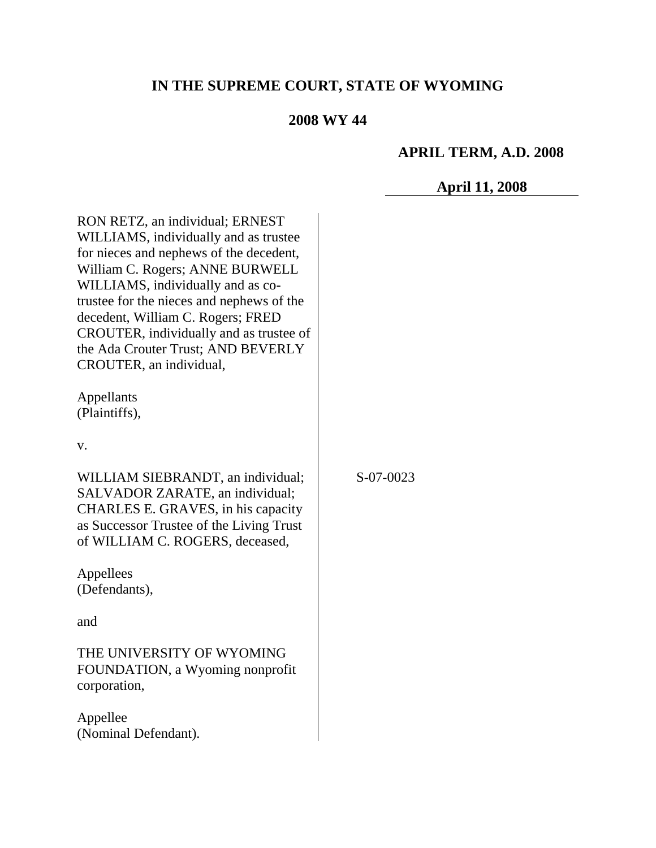# **IN THE SUPREME COURT, STATE OF WYOMING**

## **2008 WY 44**

## **APRIL TERM, A.D. 2008**

## **April 11, 2008**

RON RETZ, an individual; ERNEST WILLIAMS, individually and as trustee for nieces and nephews of the decedent, William C. Rogers; ANNE BURWELL WILLIAMS, individually and as cotrustee for the nieces and nephews of the decedent, William C. Rogers; FRED CROUTER, individually and as trustee of the Ada Crouter Trust; AND BEVERLY CROUTER, an individual,

Appellants (Plaintiffs),

v.

WILLIAM SIEBRANDT, an individual; SALVADOR ZARATE, an individual; CHARLES E. GRAVES, in his capacity as Successor Trustee of the Living Trust of WILLIAM C. ROGERS, deceased,

Appellees (Defendants),

and

THE UNIVERSITY OF WYOMING FOUNDATION, a Wyoming nonprofit corporation,

Appellee (Nominal Defendant). S-07-0023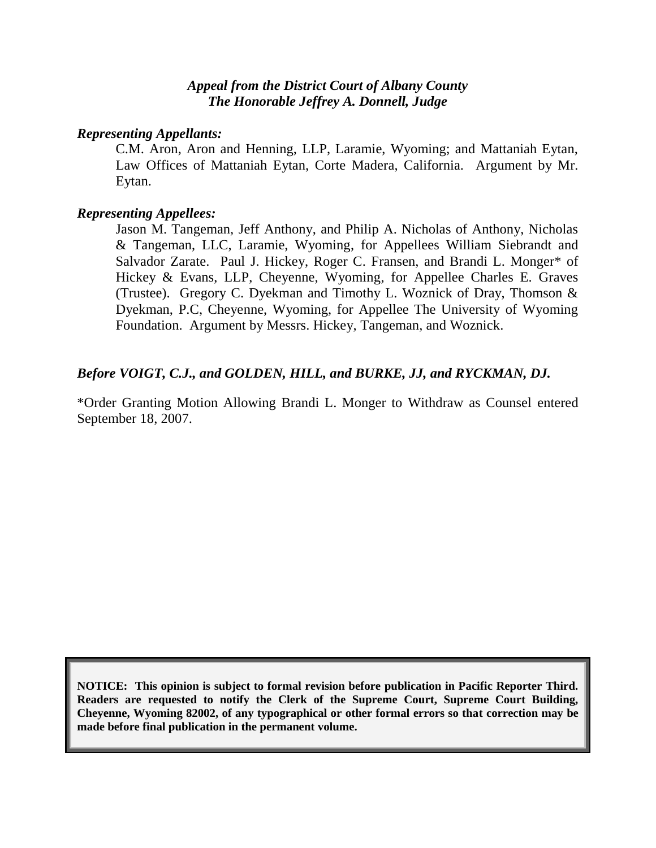#### *Appeal from the District Court of Albany County The Honorable Jeffrey A. Donnell, Judge*

#### *Representing Appellants:*

C.M. Aron, Aron and Henning, LLP, Laramie, Wyoming; and Mattaniah Eytan, Law Offices of Mattaniah Eytan, Corte Madera, California. Argument by Mr. Eytan.

#### *Representing Appellees:*

Jason M. Tangeman, Jeff Anthony, and Philip A. Nicholas of Anthony, Nicholas & Tangeman, LLC, Laramie, Wyoming, for Appellees William Siebrandt and Salvador Zarate. Paul J. Hickey, Roger C. Fransen, and Brandi L. Monger\* of Hickey & Evans, LLP, Cheyenne, Wyoming, for Appellee Charles E. Graves (Trustee). Gregory C. Dyekman and Timothy L. Woznick of Dray, Thomson & Dyekman, P.C, Cheyenne, Wyoming, for Appellee The University of Wyoming Foundation. Argument by Messrs. Hickey, Tangeman, and Woznick.

## *Before VOIGT, C.J., and GOLDEN, HILL, and BURKE, JJ, and RYCKMAN, DJ.*

\*Order Granting Motion Allowing Brandi L. Monger to Withdraw as Counsel entered September 18, 2007.

**NOTICE: This opinion is subject to formal revision before publication in Pacific Reporter Third. Readers are requested to notify the Clerk of the Supreme Court, Supreme Court Building, Cheyenne, Wyoming 82002, of any typographical or other formal errors so that correction may be made before final publication in the permanent volume.**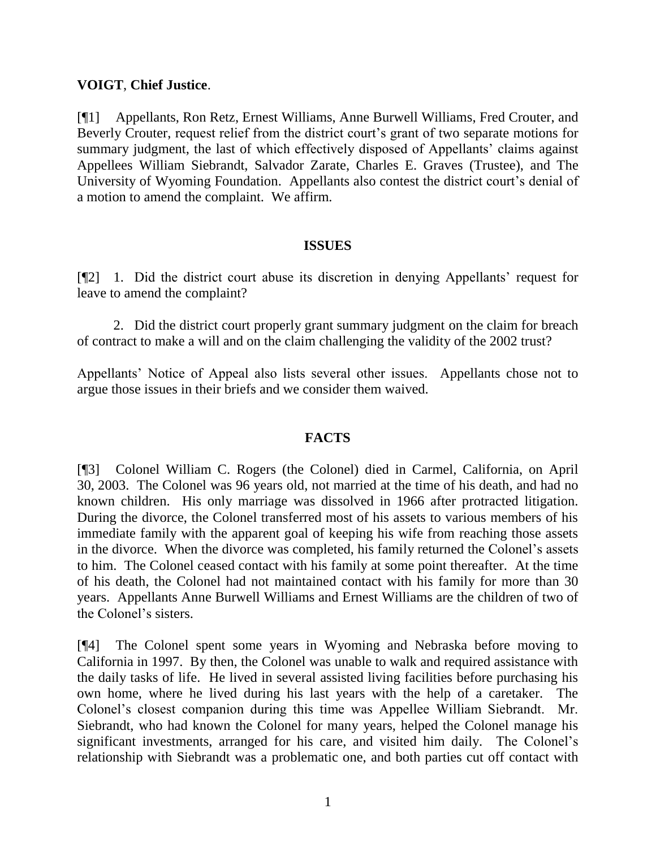#### **VOIGT**, **Chief Justice**.

[¶1] Appellants, Ron Retz, Ernest Williams, Anne Burwell Williams, Fred Crouter, and Beverly Crouter, request relief from the district court's grant of two separate motions for summary judgment, the last of which effectively disposed of Appellants' claims against Appellees William Siebrandt, Salvador Zarate, Charles E. Graves (Trustee), and The University of Wyoming Foundation. Appellants also contest the district court's denial of a motion to amend the complaint. We affirm.

#### **ISSUES**

[¶2] 1. Did the district court abuse its discretion in denying Appellants' request for leave to amend the complaint?

2. Did the district court properly grant summary judgment on the claim for breach of contract to make a will and on the claim challenging the validity of the 2002 trust?

Appellants" Notice of Appeal also lists several other issues. Appellants chose not to argue those issues in their briefs and we consider them waived.

## **FACTS**

[¶3] Colonel William C. Rogers (the Colonel) died in Carmel, California, on April 30, 2003. The Colonel was 96 years old, not married at the time of his death, and had no known children. His only marriage was dissolved in 1966 after protracted litigation. During the divorce, the Colonel transferred most of his assets to various members of his immediate family with the apparent goal of keeping his wife from reaching those assets in the divorce. When the divorce was completed, his family returned the Colonel"s assets to him. The Colonel ceased contact with his family at some point thereafter. At the time of his death, the Colonel had not maintained contact with his family for more than 30 years. Appellants Anne Burwell Williams and Ernest Williams are the children of two of the Colonel"s sisters.

[¶4] The Colonel spent some years in Wyoming and Nebraska before moving to California in 1997. By then, the Colonel was unable to walk and required assistance with the daily tasks of life. He lived in several assisted living facilities before purchasing his own home, where he lived during his last years with the help of a caretaker. The Colonel"s closest companion during this time was Appellee William Siebrandt. Mr. Siebrandt, who had known the Colonel for many years, helped the Colonel manage his significant investments, arranged for his care, and visited him daily. The Colonel"s relationship with Siebrandt was a problematic one, and both parties cut off contact with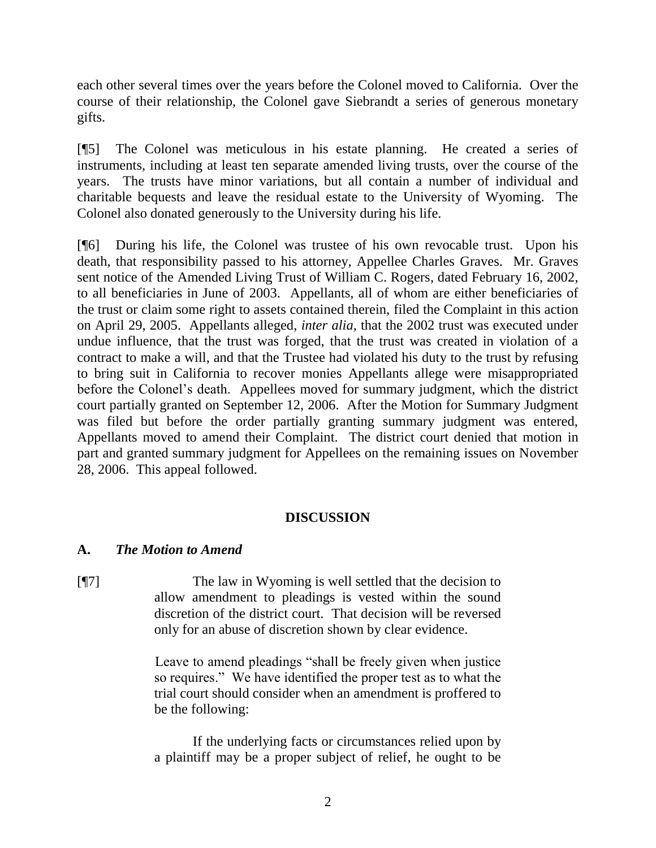each other several times over the years before the Colonel moved to California. Over the course of their relationship, the Colonel gave Siebrandt a series of generous monetary gifts.

[¶5] The Colonel was meticulous in his estate planning. He created a series of instruments, including at least ten separate amended living trusts, over the course of the years. The trusts have minor variations, but all contain a number of individual and charitable bequests and leave the residual estate to the University of Wyoming. The Colonel also donated generously to the University during his life.

[¶6] During his life, the Colonel was trustee of his own revocable trust. Upon his death, that responsibility passed to his attorney, Appellee Charles Graves. Mr. Graves sent notice of the Amended Living Trust of William C. Rogers, dated February 16, 2002, to all beneficiaries in June of 2003. Appellants, all of whom are either beneficiaries of the trust or claim some right to assets contained therein, filed the Complaint in this action on April 29, 2005. Appellants alleged, *inter alia*, that the 2002 trust was executed under undue influence, that the trust was forged, that the trust was created in violation of a contract to make a will, and that the Trustee had violated his duty to the trust by refusing to bring suit in California to recover monies Appellants allege were misappropriated before the Colonel"s death. Appellees moved for summary judgment, which the district court partially granted on September 12, 2006. After the Motion for Summary Judgment was filed but before the order partially granting summary judgment was entered, Appellants moved to amend their Complaint. The district court denied that motion in part and granted summary judgment for Appellees on the remaining issues on November 28, 2006. This appeal followed.

## **DISCUSSION**

#### **A.** *The Motion to Amend*

[¶7] The law in Wyoming is well settled that the decision to allow amendment to pleadings is vested within the sound discretion of the district court. That decision will be reversed only for an abuse of discretion shown by clear evidence.

> Leave to amend pleadings "shall be freely given when justice so requires." We have identified the proper test as to what the trial court should consider when an amendment is proffered to be the following:

> If the underlying facts or circumstances relied upon by a plaintiff may be a proper subject of relief, he ought to be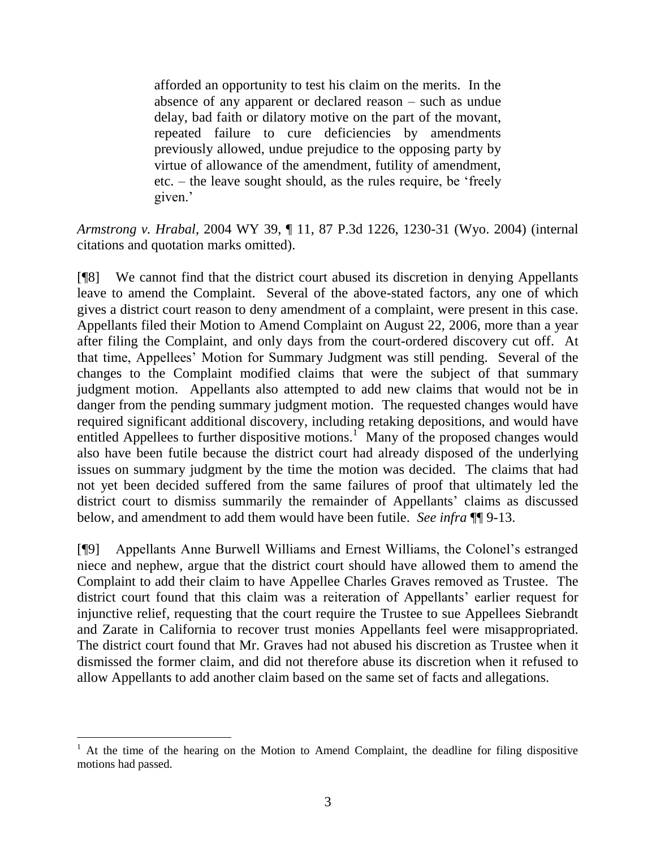afforded an opportunity to test his claim on the merits. In the absence of any apparent or declared reason – such as undue delay, bad faith or dilatory motive on the part of the movant, repeated failure to cure deficiencies by amendments previously allowed, undue prejudice to the opposing party by virtue of allowance of the amendment, futility of amendment, etc. – the leave sought should, as the rules require, be "freely given.'

*Armstrong v. Hrabal*, 2004 WY 39, ¶ 11, 87 P.3d 1226, 1230-31 (Wyo. 2004) (internal citations and quotation marks omitted).

[¶8] We cannot find that the district court abused its discretion in denying Appellants leave to amend the Complaint. Several of the above-stated factors, any one of which gives a district court reason to deny amendment of a complaint, were present in this case. Appellants filed their Motion to Amend Complaint on August 22, 2006, more than a year after filing the Complaint, and only days from the court-ordered discovery cut off. At that time, Appellees" Motion for Summary Judgment was still pending. Several of the changes to the Complaint modified claims that were the subject of that summary judgment motion. Appellants also attempted to add new claims that would not be in danger from the pending summary judgment motion. The requested changes would have required significant additional discovery, including retaking depositions, and would have entitled Appellees to further dispositive motions.<sup>1</sup> Many of the proposed changes would also have been futile because the district court had already disposed of the underlying issues on summary judgment by the time the motion was decided. The claims that had not yet been decided suffered from the same failures of proof that ultimately led the district court to dismiss summarily the remainder of Appellants' claims as discussed below, and amendment to add them would have been futile. *See infra* ¶¶ 9-13.

[¶9] Appellants Anne Burwell Williams and Ernest Williams, the Colonel"s estranged niece and nephew, argue that the district court should have allowed them to amend the Complaint to add their claim to have Appellee Charles Graves removed as Trustee. The district court found that this claim was a reiteration of Appellants' earlier request for injunctive relief, requesting that the court require the Trustee to sue Appellees Siebrandt and Zarate in California to recover trust monies Appellants feel were misappropriated. The district court found that Mr. Graves had not abused his discretion as Trustee when it dismissed the former claim, and did not therefore abuse its discretion when it refused to allow Appellants to add another claim based on the same set of facts and allegations.

 <sup>1</sup> At the time of the hearing on the Motion to Amend Complaint, the deadline for filing dispositive motions had passed.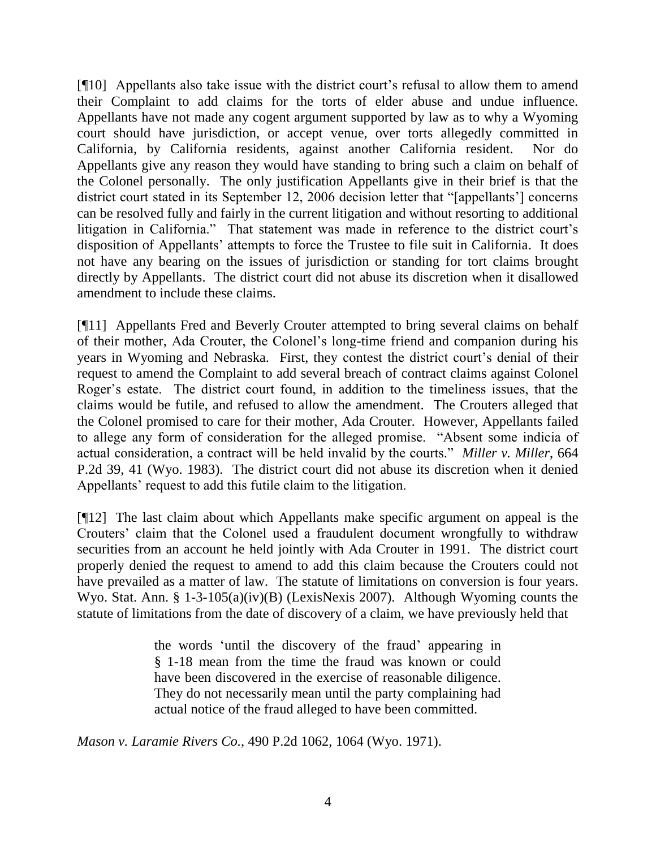[¶10] Appellants also take issue with the district court"s refusal to allow them to amend their Complaint to add claims for the torts of elder abuse and undue influence. Appellants have not made any cogent argument supported by law as to why a Wyoming court should have jurisdiction, or accept venue, over torts allegedly committed in California, by California residents, against another California resident. Nor do Appellants give any reason they would have standing to bring such a claim on behalf of the Colonel personally. The only justification Appellants give in their brief is that the district court stated in its September 12, 2006 decision letter that "[appellants'] concerns can be resolved fully and fairly in the current litigation and without resorting to additional litigation in California." That statement was made in reference to the district court's disposition of Appellants" attempts to force the Trustee to file suit in California. It does not have any bearing on the issues of jurisdiction or standing for tort claims brought directly by Appellants. The district court did not abuse its discretion when it disallowed amendment to include these claims.

[¶11] Appellants Fred and Beverly Crouter attempted to bring several claims on behalf of their mother, Ada Crouter, the Colonel"s long-time friend and companion during his years in Wyoming and Nebraska. First, they contest the district court's denial of their request to amend the Complaint to add several breach of contract claims against Colonel Roger"s estate. The district court found, in addition to the timeliness issues, that the claims would be futile, and refused to allow the amendment. The Crouters alleged that the Colonel promised to care for their mother, Ada Crouter. However, Appellants failed to allege any form of consideration for the alleged promise. "Absent some indicia of actual consideration, a contract will be held invalid by the courts." *Miller v. Miller*, 664 P.2d 39, 41 (Wyo. 1983). The district court did not abuse its discretion when it denied Appellants' request to add this futile claim to the litigation.

[¶12] The last claim about which Appellants make specific argument on appeal is the Crouters" claim that the Colonel used a fraudulent document wrongfully to withdraw securities from an account he held jointly with Ada Crouter in 1991. The district court properly denied the request to amend to add this claim because the Crouters could not have prevailed as a matter of law. The statute of limitations on conversion is four years. Wyo. Stat. Ann. § 1-3-105(a)(iv)(B) (LexisNexis 2007). Although Wyoming counts the statute of limitations from the date of discovery of a claim, we have previously held that

> the words "until the discovery of the fraud" appearing in § 1-18 mean from the time the fraud was known or could have been discovered in the exercise of reasonable diligence. They do not necessarily mean until the party complaining had actual notice of the fraud alleged to have been committed.

*Mason v. Laramie Rivers Co.*, 490 P.2d 1062, 1064 (Wyo. 1971).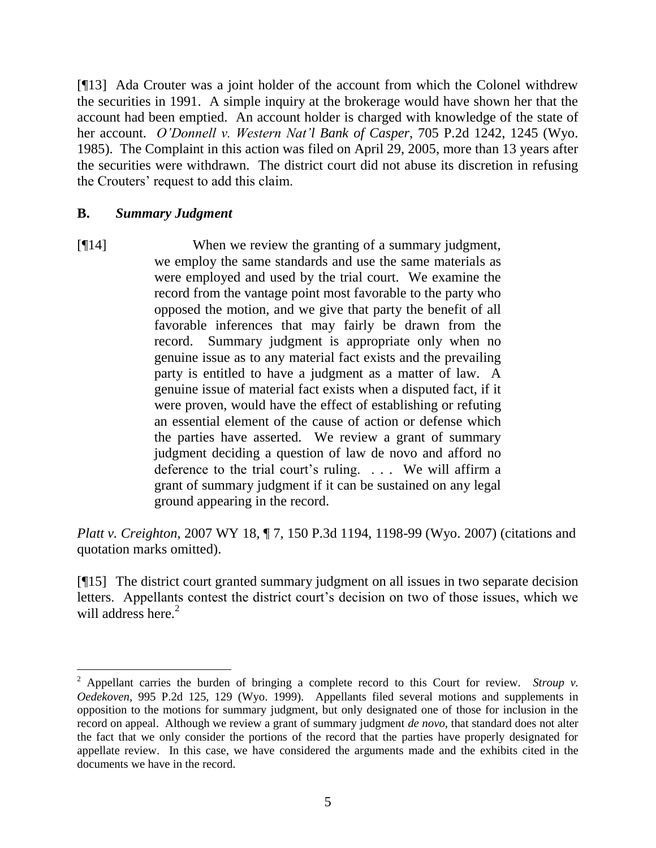[¶13] Ada Crouter was a joint holder of the account from which the Colonel withdrew the securities in 1991. A simple inquiry at the brokerage would have shown her that the account had been emptied. An account holder is charged with knowledge of the state of her account. *O'Donnell v. Western Nat'l Bank of Casper*, 705 P.2d 1242, 1245 (Wyo. 1985). The Complaint in this action was filed on April 29, 2005, more than 13 years after the securities were withdrawn. The district court did not abuse its discretion in refusing the Crouters" request to add this claim.

#### **B.** *Summary Judgment*

 $\overline{a}$ 

[¶14] When we review the granting of a summary judgment, we employ the same standards and use the same materials as were employed and used by the trial court. We examine the record from the vantage point most favorable to the party who opposed the motion, and we give that party the benefit of all favorable inferences that may fairly be drawn from the record. Summary judgment is appropriate only when no genuine issue as to any material fact exists and the prevailing party is entitled to have a judgment as a matter of law. A genuine issue of material fact exists when a disputed fact, if it were proven, would have the effect of establishing or refuting an essential element of the cause of action or defense which the parties have asserted. We review a grant of summary judgment deciding a question of law de novo and afford no deference to the trial court's ruling. . . . We will affirm a grant of summary judgment if it can be sustained on any legal ground appearing in the record.

*Platt v. Creighton*, 2007 WY 18, ¶ 7, 150 P.3d 1194, 1198-99 (Wyo. 2007) (citations and quotation marks omitted).

[¶15] The district court granted summary judgment on all issues in two separate decision letters. Appellants contest the district court's decision on two of those issues, which we will address here.<sup>2</sup>

<sup>2</sup> Appellant carries the burden of bringing a complete record to this Court for review. *Stroup v. Oedekoven*, 995 P.2d 125, 129 (Wyo. 1999). Appellants filed several motions and supplements in opposition to the motions for summary judgment, but only designated one of those for inclusion in the record on appeal. Although we review a grant of summary judgment *de novo*, that standard does not alter the fact that we only consider the portions of the record that the parties have properly designated for appellate review. In this case, we have considered the arguments made and the exhibits cited in the documents we have in the record.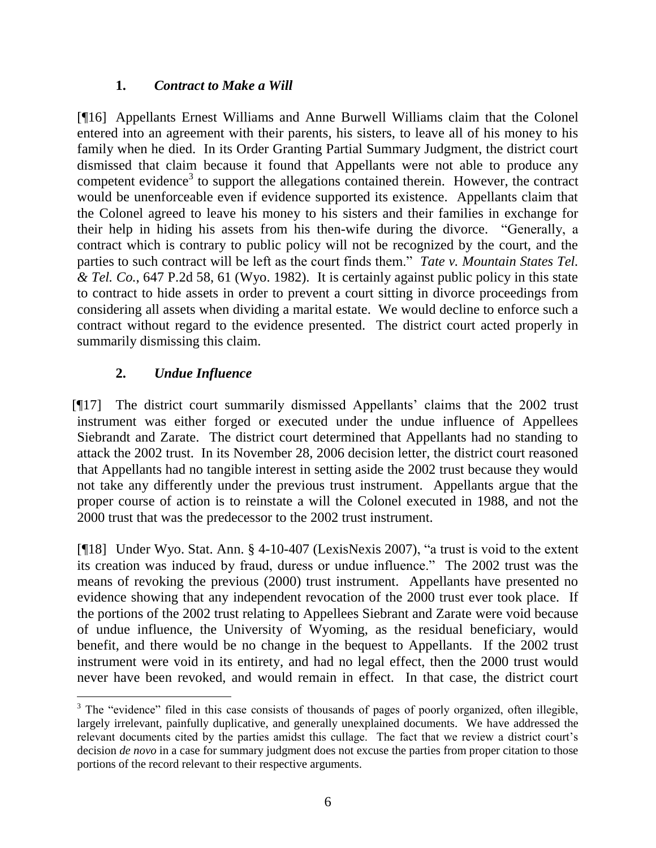## **1.** *Contract to Make a Will*

[¶16] Appellants Ernest Williams and Anne Burwell Williams claim that the Colonel entered into an agreement with their parents, his sisters, to leave all of his money to his family when he died. In its Order Granting Partial Summary Judgment, the district court dismissed that claim because it found that Appellants were not able to produce any competent evidence<sup>3</sup> to support the allegations contained therein. However, the contract would be unenforceable even if evidence supported its existence. Appellants claim that the Colonel agreed to leave his money to his sisters and their families in exchange for their help in hiding his assets from his then-wife during the divorce. "Generally, a contract which is contrary to public policy will not be recognized by the court, and the parties to such contract will be left as the court finds them." *Tate v. Mountain States Tel. & Tel. Co.*, 647 P.2d 58, 61 (Wyo. 1982). It is certainly against public policy in this state to contract to hide assets in order to prevent a court sitting in divorce proceedings from considering all assets when dividing a marital estate. We would decline to enforce such a contract without regard to the evidence presented. The district court acted properly in summarily dismissing this claim.

## **2.** *Undue Influence*

 $\overline{a}$ 

[¶17] The district court summarily dismissed Appellants" claims that the 2002 trust instrument was either forged or executed under the undue influence of Appellees Siebrandt and Zarate. The district court determined that Appellants had no standing to attack the 2002 trust. In its November 28, 2006 decision letter, the district court reasoned that Appellants had no tangible interest in setting aside the 2002 trust because they would not take any differently under the previous trust instrument. Appellants argue that the proper course of action is to reinstate a will the Colonel executed in 1988, and not the 2000 trust that was the predecessor to the 2002 trust instrument.

[¶18] Under Wyo. Stat. Ann. § 4-10-407 (LexisNexis 2007), "a trust is void to the extent its creation was induced by fraud, duress or undue influence." The 2002 trust was the means of revoking the previous (2000) trust instrument. Appellants have presented no evidence showing that any independent revocation of the 2000 trust ever took place. If the portions of the 2002 trust relating to Appellees Siebrant and Zarate were void because of undue influence, the University of Wyoming, as the residual beneficiary, would benefit, and there would be no change in the bequest to Appellants. If the 2002 trust instrument were void in its entirety, and had no legal effect, then the 2000 trust would never have been revoked, and would remain in effect. In that case, the district court

<sup>&</sup>lt;sup>3</sup> The "evidence" filed in this case consists of thousands of pages of poorly organized, often illegible, largely irrelevant, painfully duplicative, and generally unexplained documents. We have addressed the relevant documents cited by the parties amidst this cullage. The fact that we review a district court"s decision *de novo* in a case for summary judgment does not excuse the parties from proper citation to those portions of the record relevant to their respective arguments.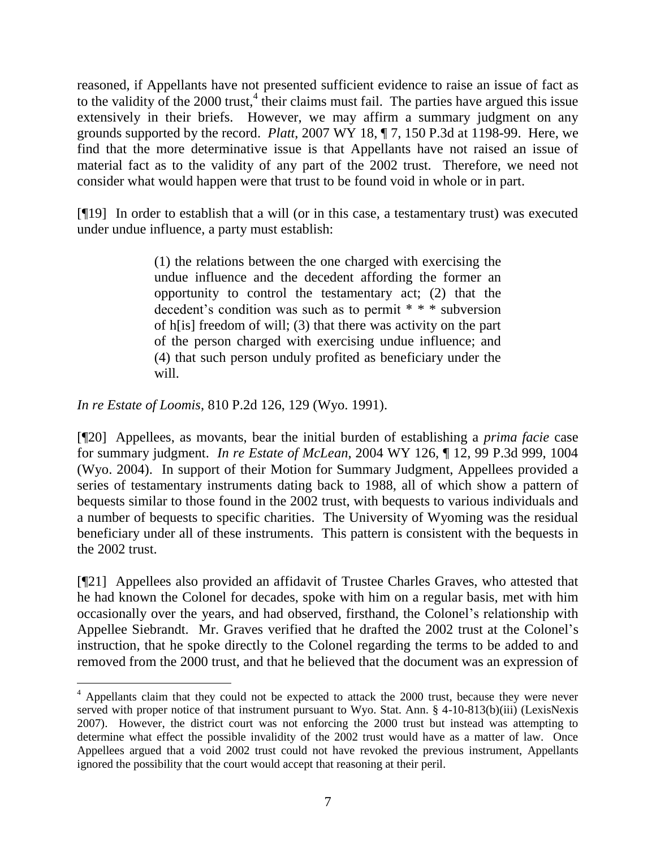reasoned, if Appellants have not presented sufficient evidence to raise an issue of fact as to the validity of the  $2000$  trust,  $4$  their claims must fail. The parties have argued this issue extensively in their briefs. However, we may affirm a summary judgment on any grounds supported by the record. *Platt*, 2007 WY 18, ¶ 7, 150 P.3d at 1198-99. Here, we find that the more determinative issue is that Appellants have not raised an issue of material fact as to the validity of any part of the 2002 trust. Therefore, we need not consider what would happen were that trust to be found void in whole or in part.

[¶19] In order to establish that a will (or in this case, a testamentary trust) was executed under undue influence, a party must establish:

> (1) the relations between the one charged with exercising the undue influence and the decedent affording the former an opportunity to control the testamentary act; (2) that the decedent"s condition was such as to permit \* \* \* subversion of h[is] freedom of will; (3) that there was activity on the part of the person charged with exercising undue influence; and (4) that such person unduly profited as beneficiary under the will.

*In re Estate of Loomis*, 810 P.2d 126, 129 (Wyo. 1991).

[¶20] Appellees, as movants, bear the initial burden of establishing a *prima facie* case for summary judgment. *In re Estate of McLean*, 2004 WY 126, ¶ 12, 99 P.3d 999, 1004 (Wyo. 2004). In support of their Motion for Summary Judgment, Appellees provided a series of testamentary instruments dating back to 1988, all of which show a pattern of bequests similar to those found in the 2002 trust, with bequests to various individuals and a number of bequests to specific charities. The University of Wyoming was the residual beneficiary under all of these instruments. This pattern is consistent with the bequests in the 2002 trust.

[¶21] Appellees also provided an affidavit of Trustee Charles Graves, who attested that he had known the Colonel for decades, spoke with him on a regular basis, met with him occasionally over the years, and had observed, firsthand, the Colonel"s relationship with Appellee Siebrandt. Mr. Graves verified that he drafted the 2002 trust at the Colonel"s instruction, that he spoke directly to the Colonel regarding the terms to be added to and removed from the 2000 trust, and that he believed that the document was an expression of

 $4$  Appellants claim that they could not be expected to attack the 2000 trust, because they were never served with proper notice of that instrument pursuant to Wyo. Stat. Ann. § 4-10-813(b)(iii) (LexisNexis 2007). However, the district court was not enforcing the 2000 trust but instead was attempting to determine what effect the possible invalidity of the 2002 trust would have as a matter of law. Once Appellees argued that a void 2002 trust could not have revoked the previous instrument, Appellants ignored the possibility that the court would accept that reasoning at their peril.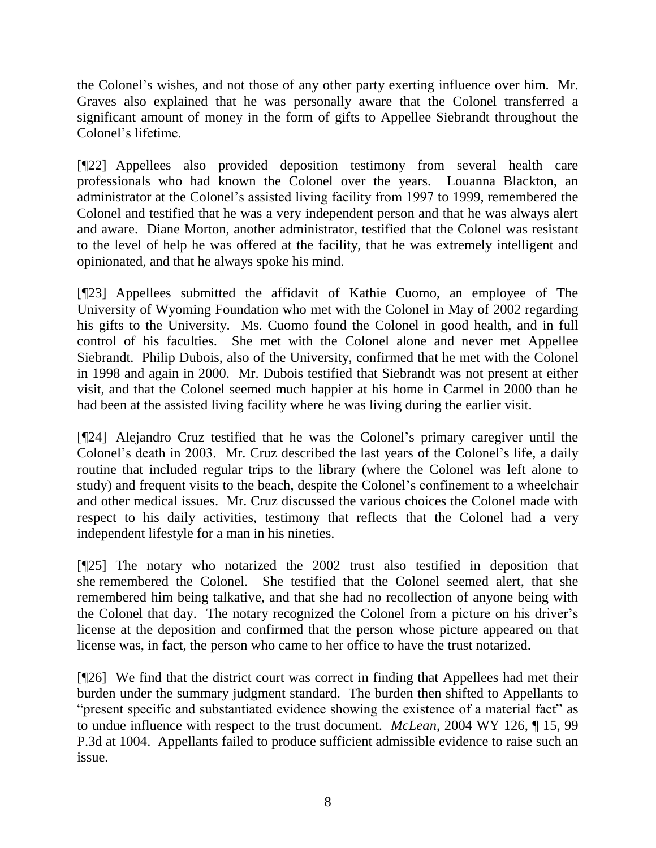the Colonel"s wishes, and not those of any other party exerting influence over him. Mr. Graves also explained that he was personally aware that the Colonel transferred a significant amount of money in the form of gifts to Appellee Siebrandt throughout the Colonel"s lifetime.

[¶22] Appellees also provided deposition testimony from several health care professionals who had known the Colonel over the years. Louanna Blackton, an administrator at the Colonel"s assisted living facility from 1997 to 1999, remembered the Colonel and testified that he was a very independent person and that he was always alert and aware. Diane Morton, another administrator, testified that the Colonel was resistant to the level of help he was offered at the facility, that he was extremely intelligent and opinionated, and that he always spoke his mind.

[¶23] Appellees submitted the affidavit of Kathie Cuomo, an employee of The University of Wyoming Foundation who met with the Colonel in May of 2002 regarding his gifts to the University. Ms. Cuomo found the Colonel in good health, and in full control of his faculties. She met with the Colonel alone and never met Appellee Siebrandt. Philip Dubois, also of the University, confirmed that he met with the Colonel in 1998 and again in 2000. Mr. Dubois testified that Siebrandt was not present at either visit, and that the Colonel seemed much happier at his home in Carmel in 2000 than he had been at the assisted living facility where he was living during the earlier visit.

[¶24] Alejandro Cruz testified that he was the Colonel"s primary caregiver until the Colonel"s death in 2003. Mr. Cruz described the last years of the Colonel"s life, a daily routine that included regular trips to the library (where the Colonel was left alone to study) and frequent visits to the beach, despite the Colonel"s confinement to a wheelchair and other medical issues. Mr. Cruz discussed the various choices the Colonel made with respect to his daily activities, testimony that reflects that the Colonel had a very independent lifestyle for a man in his nineties.

[¶25] The notary who notarized the 2002 trust also testified in deposition that she remembered the Colonel. She testified that the Colonel seemed alert, that she remembered him being talkative, and that she had no recollection of anyone being with the Colonel that day. The notary recognized the Colonel from a picture on his driver"s license at the deposition and confirmed that the person whose picture appeared on that license was, in fact, the person who came to her office to have the trust notarized.

[¶26] We find that the district court was correct in finding that Appellees had met their burden under the summary judgment standard. The burden then shifted to Appellants to "present specific and substantiated evidence showing the existence of a material fact" as to undue influence with respect to the trust document. *McLean*, 2004 WY 126, ¶ 15, 99 P.3d at 1004. Appellants failed to produce sufficient admissible evidence to raise such an issue.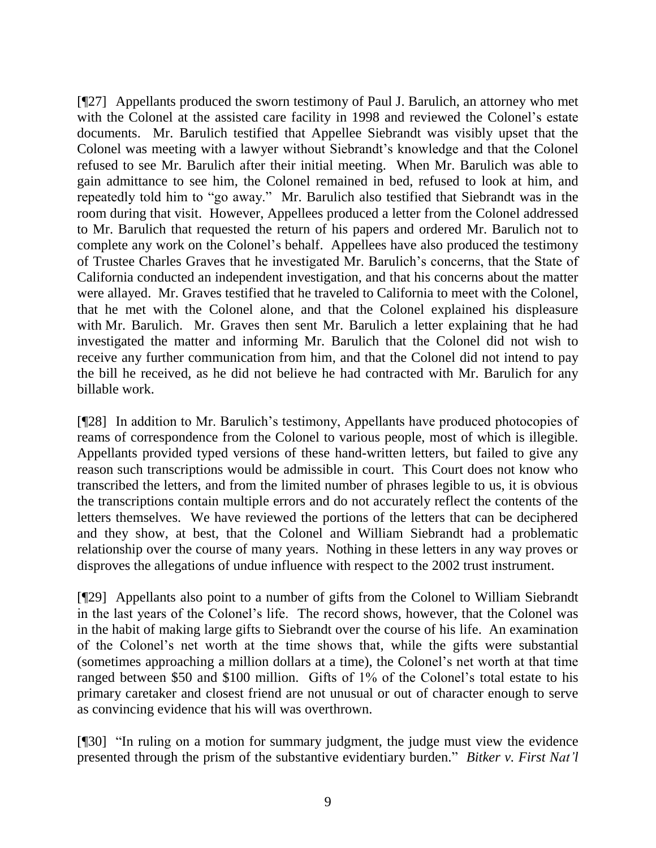[¶27] Appellants produced the sworn testimony of Paul J. Barulich, an attorney who met with the Colonel at the assisted care facility in 1998 and reviewed the Colonel"s estate documents. Mr. Barulich testified that Appellee Siebrandt was visibly upset that the Colonel was meeting with a lawyer without Siebrandt"s knowledge and that the Colonel refused to see Mr. Barulich after their initial meeting. When Mr. Barulich was able to gain admittance to see him, the Colonel remained in bed, refused to look at him, and repeatedly told him to "go away." Mr. Barulich also testified that Siebrandt was in the room during that visit. However, Appellees produced a letter from the Colonel addressed to Mr. Barulich that requested the return of his papers and ordered Mr. Barulich not to complete any work on the Colonel"s behalf. Appellees have also produced the testimony of Trustee Charles Graves that he investigated Mr. Barulich"s concerns, that the State of California conducted an independent investigation, and that his concerns about the matter were allayed. Mr. Graves testified that he traveled to California to meet with the Colonel, that he met with the Colonel alone, and that the Colonel explained his displeasure with Mr. Barulich. Mr. Graves then sent Mr. Barulich a letter explaining that he had investigated the matter and informing Mr. Barulich that the Colonel did not wish to receive any further communication from him, and that the Colonel did not intend to pay the bill he received, as he did not believe he had contracted with Mr. Barulich for any billable work.

[¶28] In addition to Mr. Barulich"s testimony, Appellants have produced photocopies of reams of correspondence from the Colonel to various people, most of which is illegible. Appellants provided typed versions of these hand-written letters, but failed to give any reason such transcriptions would be admissible in court. This Court does not know who transcribed the letters, and from the limited number of phrases legible to us, it is obvious the transcriptions contain multiple errors and do not accurately reflect the contents of the letters themselves. We have reviewed the portions of the letters that can be deciphered and they show, at best, that the Colonel and William Siebrandt had a problematic relationship over the course of many years. Nothing in these letters in any way proves or disproves the allegations of undue influence with respect to the 2002 trust instrument.

[¶29] Appellants also point to a number of gifts from the Colonel to William Siebrandt in the last years of the Colonel"s life. The record shows, however, that the Colonel was in the habit of making large gifts to Siebrandt over the course of his life. An examination of the Colonel"s net worth at the time shows that, while the gifts were substantial (sometimes approaching a million dollars at a time), the Colonel"s net worth at that time ranged between \$50 and \$100 million. Gifts of 1% of the Colonel"s total estate to his primary caretaker and closest friend are not unusual or out of character enough to serve as convincing evidence that his will was overthrown.

[¶30] "In ruling on a motion for summary judgment, the judge must view the evidence presented through the prism of the substantive evidentiary burden." *Bitker v. First Nat'l*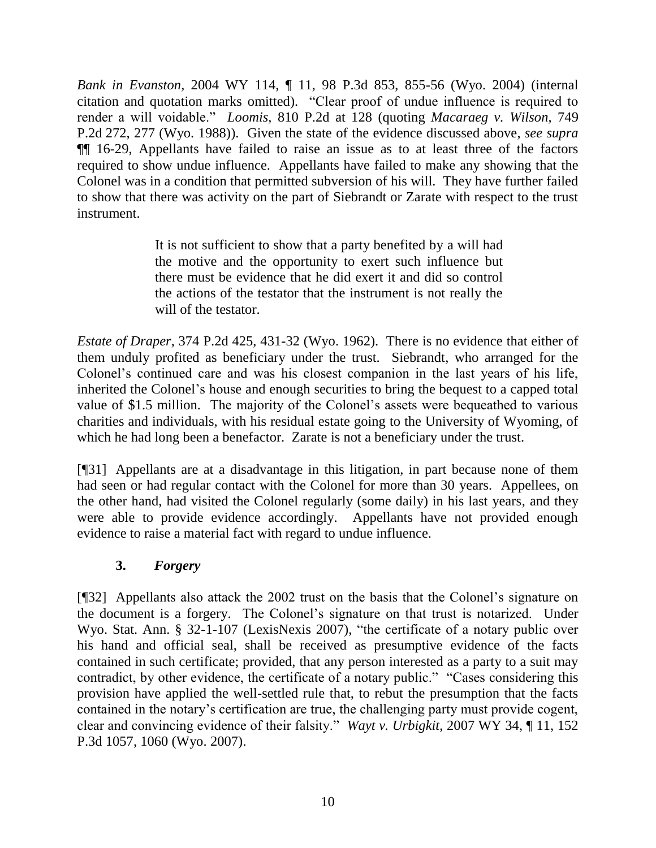*Bank in Evanston*, 2004 WY 114, ¶ 11, 98 P.3d 853, 855-56 (Wyo. 2004) (internal citation and quotation marks omitted). "Clear proof of undue influence is required to render a will voidable." *Loomis*, 810 P.2d at 128 (quoting *Macaraeg v. Wilson*, 749 P.2d 272, 277 (Wyo. 1988)). Given the state of the evidence discussed above, *see supra* ¶¶ 16-29, Appellants have failed to raise an issue as to at least three of the factors required to show undue influence. Appellants have failed to make any showing that the Colonel was in a condition that permitted subversion of his will. They have further failed to show that there was activity on the part of Siebrandt or Zarate with respect to the trust instrument.

> It is not sufficient to show that a party benefited by a will had the motive and the opportunity to exert such influence but there must be evidence that he did exert it and did so control the actions of the testator that the instrument is not really the will of the testator.

*Estate of Draper*, 374 P.2d 425, 431-32 (Wyo. 1962). There is no evidence that either of them unduly profited as beneficiary under the trust. Siebrandt, who arranged for the Colonel"s continued care and was his closest companion in the last years of his life, inherited the Colonel"s house and enough securities to bring the bequest to a capped total value of \$1.5 million. The majority of the Colonel's assets were bequeathed to various charities and individuals, with his residual estate going to the University of Wyoming, of which he had long been a benefactor. Zarate is not a beneficiary under the trust.

[¶31] Appellants are at a disadvantage in this litigation, in part because none of them had seen or had regular contact with the Colonel for more than 30 years. Appellees, on the other hand, had visited the Colonel regularly (some daily) in his last years, and they were able to provide evidence accordingly. Appellants have not provided enough evidence to raise a material fact with regard to undue influence.

# **3.** *Forgery*

[¶32] Appellants also attack the 2002 trust on the basis that the Colonel"s signature on the document is a forgery. The Colonel"s signature on that trust is notarized. Under Wyo. Stat. Ann. § 32-1-107 (LexisNexis 2007), "the certificate of a notary public over his hand and official seal, shall be received as presumptive evidence of the facts contained in such certificate; provided, that any person interested as a party to a suit may contradict, by other evidence, the certificate of a notary public." "Cases considering this provision have applied the well-settled rule that, to rebut the presumption that the facts contained in the notary"s certification are true, the challenging party must provide cogent, clear and convincing evidence of their falsity." *Wayt v. Urbigkit*, 2007 WY 34, ¶ 11, 152 P.3d 1057, 1060 (Wyo. 2007).